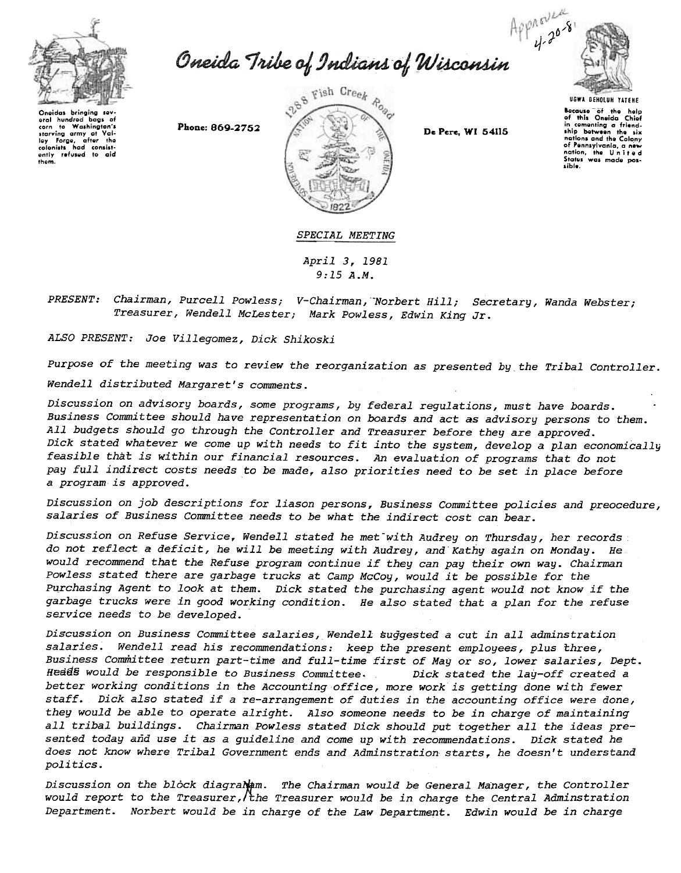

Approved<br>Oneida Tribe of Indians of Wisconsin



Oneidas bringing sev-<br>eral hundred bags of eral hundred bags of<br>corn to Washington's corn to Washington's<br>Igy Forge, after the<br>Igy Forge, after the<br>colonists had consist-<br>ently refused to aid thorn,



Because "of the help<br>of this Oneida Chiof<br>in comenting a friend-<br>ship between the six nations and tho Colony of Pennsylvania, a new<br>nation, the United<br>States was made pos-<br>sible.

SPECIAL MEETING

April 3,1981 9:15 A.M.

Chairman, Purcell Powless; V-Chairman, Norbert Hill; Secretary, Wanda Webste; Treasurer, Wendell McLester; Mark Powless, Edwin King Ji

ALSO PRESENT: Joe Villegomez, Dick Shikoski

Purpose of the meeting was to review the reorganization as presented by the Tribal Controller. Wendell distributed Margaret's comments.

Discussion on advisory boards, some programs, by federal regulations, must have boards. Business Committee should have representation on boards and act as advisory persons to them. All budgets should go through the Controller and Treasurer before they are approved. Dick stated whatever we come up with needs to fit into the system, develop: a plan economically feasible that is within our financial resources. An evaluation of programs that do not pay full indirect costs needs to be made, also priorities need to be set in place before a program is approved.

Discussion on job descriptions for liason persons, Business Committee policies and preocedure, salaries of Business Committee needs to be what the indirect cost can bear.

Discussion on Refuse Service, Wendell stated he met with Audrey on Thursday, her records do not reflect a deficit, he will be meeting with Audrey, and Kathy again on Monday. He would recommend that the Refuse program continue if they can pay their own way. Chairman Powless stated there are garbage trucks at Camp McCoy, would it be possible for the Purchasing Agent to look at them. Dick stated the purchasing agent would not know if the garbage trucks were in good working condition. He also stated that a plan for the refuse service needs to be developed.

Discussion on Business Committee salaries, Wendell suggested a cut in all adminstration salaries. Wendell read his recommendations: keep the present employees, plus three, Business Committee return part-time and full-time first of Mag or so, lower salaries, Dept. Heads would be responsible to Business Committee. Dick stated the lay-off created a better working conditions in the Accounting office, more work is getting done with fewer staff. Dick also stated if a re-arrangement of duties in the accounting office were done, they would be able to operate alright. Also someone needs to be in charge of maintaining all tribal buildings. Chairman Powless stated Dick should put together all the ideas presented today and use it as a guideline and come up with recommendations. Dick stated he does not know where Tribal Government ends and Adminstration starts, he doesn't understand *politics.* 

Discussion on the block diagrame. The Chairman would be General Manager, the Controller would report to the Treasurer, the Treasurer would be in charge the Central Adminstration Department. Norbert would be in charge of the Law Department. Edwin would be in charge